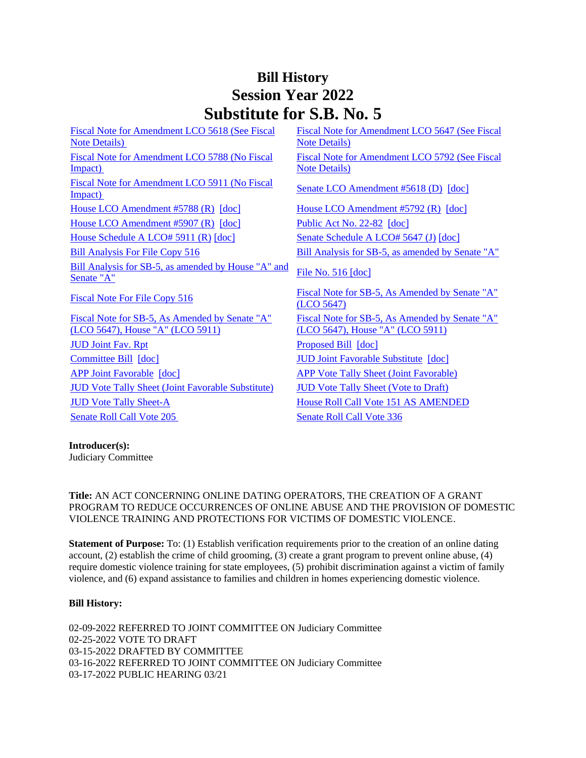## **Bill History Session Year 2022 Substitute for S.B. No. 5**

[Fiscal Note for Amendment LCO 5618 \(See Fiscal](/2022/fna/pdf/2022SB-00005-R00LCO05618-FNA.PDF)  [Note Details\)](/2022/fna/pdf/2022SB-00005-R00LCO05618-FNA.PDF)  [Fiscal Note for Amendment LCO 5788 \(No Fiscal](/2022/fna/pdf/2022SB-00005-R00LCO05788-FNA.pdf)  [Impact\)](/2022/fna/pdf/2022SB-00005-R00LCO05788-FNA.pdf)  [Fiscal Note for Amendment LCO 5911 \(No Fiscal](/2022/fna/pdf/2022SB-00005-R00LCO05911-FNA.PDF)  <u>Fiscal Note for Amendment LCO 3911 (NO Fiscal</u> [Senate LCO Amendment #5618 \(D\)](/2022/lcoamd/pdf/2022LCO05618-R00-AMD.pdf) [\[doc\]](https://search.cga.state.ct.us/dl2022/aml/doc/2022LCO05618-R00-AMD.DOCX)<br>Impact) [House LCO Amendment #5788 \(R\)](/2022/lcoamd/pdf/2022LCO05788-R00-AMD.pdf) [\[doc\]](https://search.cga.state.ct.us/dl2022/aml/doc/2022LCO05792-R00-AMD.DOCX) [House LCO Amendment #5792 \(R\)](/2022/lcoamd/pdf/2022LCO05792-R00-AMD.pdf) [doc] [House LCO Amendment #5907 \(R\)](/2022/lcoamd/pdf/2022LCO05907-R00-AMD.pdf) [\[doc\]](https://search.cga.state.ct.us/dl2022/PA/DOC/2022PA-00082-R00SB-00005-PA.DOCX) [Public Act No. 22-82](/2022/ACT/PA/PDF/2022PA-00082-R00SB-00005-PA.PDF) [doc] [House Schedule A LCO# 5911 \(R\)](/2022/amd/S/pdf/2022SB-00005-R00HA-AMD.pdf) [\[doc\]](https://search.cga.state.ct.us/dl2022/AMd/DOC/2022SB-00005-R00SA-AMD.Docx) [Senate Schedule A LCO# 5647 \(J\)](/2022/amd/S/pdf/2022SB-00005-R00SA-AMD.pdf) [doc] [Bill Analysis For File Copy 516](/2022/BA/PDF/2022SB-00005-R000516-BA.PDF) [Bill Analysis for SB-5, as amended by Senate "A"](/2022/BA/PDF/2022SB-00005-R01-BA.PDF) [Bill Analysis for SB-5, as amended by House "A" and](/2022/BA/PDF/2022SB-00005-R02-BA.PDF) File No. 516 [doc] [Senate "A"](/2022/BA/PDF/2022SB-00005-R02-BA.PDF) [Fiscal Note For File Copy 516](/2022/FN/PDF/2022SB-00005-R000516-FN.PDF) Fiscal Note for SB-5, As Amended by Senate "A" [Fiscal Note for SB-5, As Amended by Senate "A"](/2022/FN/PDF/2022SB-00005-R02-FN.PDF)  [\(LCO 5647\), House "A" \(LCO 5911\)](/2022/FN/PDF/2022SB-00005-R02-FN.PDF) [JUD Joint Fav. Rpt](/2022/JFR/S/PDF/2022SB-00005-R00JUD-JFR.PDF) [Proposed Bill](/2022/TOB/S/PDF/2022SB-00005-R00-SB.PDF) [\[doc\]](https://search.cga.state.ct.us/dl2022/TOB/DOC/2022SB-00005-R00-SB.DOCX) [Committee Bill](/2022/TOB/S/PDF/2022SB-00005-R01-SB.PDF) [\[doc\]](https://search.cga.state.ct.us/dl2022/TOB/DOC/2022SB-00005-R01-SB.DOCX) [JUD Joint Favorable Substitute](/2022/TOB/S/PDF/2022SB-00005-R02-SB.PDF) [\[doc\]](https://search.cga.state.ct.us/dl2022/TOB/DOC/2022SB-00005-R02-SB.DOCX)

[JUD Vote Tally Sheet \(Joint Favorable Substitute\)](/2022/TS/S/PDF/2022SB-00005-R00JUD-CV107-TS.PDF) [JUD Vote Tally Sheet \(Vote to Draft\)](/2022/TS/S/PDF/2022SB-00005-R00JUD-CV33-TS.PDF) [JUD Vote Tally Sheet-A](/2022/TS/S/PDF/2022SB-00005-R00JUDA-CV108-TS.PDF) House Roll Call Vote 151 AS AMENDED [Senate Roll Call Vote 205](/2022/VOTE/S/PDF/2022SV-00205-R00SB00005-SV.PDF) Senate Roll Call Vote 336

[Fiscal Note for Amendment LCO 5647 \(See Fiscal](/2022/fna/pdf/2022SB-00005-R00LCO05647-FNA.pdf)  [Note Details\)](/2022/fna/pdf/2022SB-00005-R00LCO05647-FNA.pdf)  [Fiscal Note for Amendment LCO 5792 \(See Fiscal](/2022/fna/pdf/2022SB-00005-R00LCO05792-FNA.PDF)  [Note Details\)](/2022/fna/pdf/2022SB-00005-R00LCO05792-FNA.PDF) 

[\(LCO 5647\)](/2022/FN/PDF/2022SB-00005-R01-FN.PDF) [Fiscal Note for SB-5, As Amended by Senate "A"](/2022/FN/PDF/2022SB-00005-R03-FN.PDF)  [\(LCO 5647\), House "A" \(LCO 5911\)](/2022/FN/PDF/2022SB-00005-R03-FN.PDF) [APP Joint Favorable](/2022/TOB/S/PDF/2022SB-00005-R03-SB.PDF) [\[doc\]](https://search.cga.state.ct.us/dl2022/TOB/DOC/2022SB-00005-R03-SB.DOCX) [APP Vote Tally Sheet \(Joint Favorable\)](/2022/TS/S/PDF/2022SB-00005-R00APP-CV92-TS.PDF)

**Introducer(s):** Judiciary Committee

**Title:** AN ACT CONCERNING ONLINE DATING OPERATORS, THE CREATION OF A GRANT PROGRAM TO REDUCE OCCURRENCES OF ONLINE ABUSE AND THE PROVISION OF DOMESTIC VIOLENCE TRAINING AND PROTECTIONS FOR VICTIMS OF DOMESTIC VIOLENCE.

**Statement of Purpose:** To: (1) Establish verification requirements prior to the creation of an online dating account, (2) establish the crime of child grooming, (3) create a grant program to prevent online abuse, (4) require domestic violence training for state employees, (5) prohibit discrimination against a victim of family violence, and (6) expand assistance to families and children in homes experiencing domestic violence.

## **Bill History:**

02-09-2022 REFERRED TO JOINT COMMITTEE ON Judiciary Committee 02-25-2022 VOTE TO DRAFT 03-15-2022 DRAFTED BY COMMITTEE 03-16-2022 REFERRED TO JOINT COMMITTEE ON Judiciary Committee 03-17-2022 PUBLIC HEARING 03/21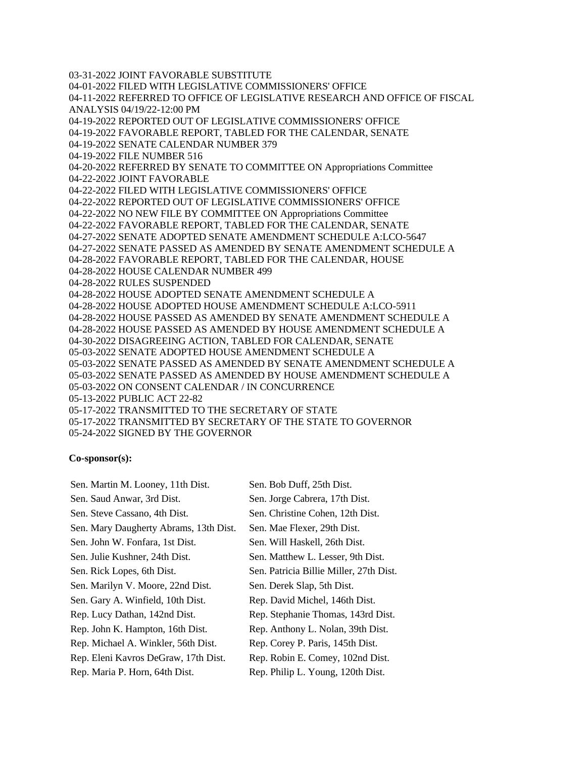03-31-2022 JOINT FAVORABLE SUBSTITUTE 04-01-2022 FILED WITH LEGISLATIVE COMMISSIONERS' OFFICE 04-11-2022 REFERRED TO OFFICE OF LEGISLATIVE RESEARCH AND OFFICE OF FISCAL ANALYSIS 04/19/22-12:00 PM 04-19-2022 REPORTED OUT OF LEGISLATIVE COMMISSIONERS' OFFICE 04-19-2022 FAVORABLE REPORT, TABLED FOR THE CALENDAR, SENATE 04-19-2022 SENATE CALENDAR NUMBER 379 04-19-2022 FILE NUMBER 516 04-20-2022 REFERRED BY SENATE TO COMMITTEE ON Appropriations Committee 04-22-2022 JOINT FAVORABLE 04-22-2022 FILED WITH LEGISLATIVE COMMISSIONERS' OFFICE 04-22-2022 REPORTED OUT OF LEGISLATIVE COMMISSIONERS' OFFICE 04-22-2022 NO NEW FILE BY COMMITTEE ON Appropriations Committee 04-22-2022 FAVORABLE REPORT, TABLED FOR THE CALENDAR, SENATE 04-27-2022 SENATE ADOPTED SENATE AMENDMENT SCHEDULE A:LCO-5647 04-27-2022 SENATE PASSED AS AMENDED BY SENATE AMENDMENT SCHEDULE A 04-28-2022 FAVORABLE REPORT, TABLED FOR THE CALENDAR, HOUSE 04-28-2022 HOUSE CALENDAR NUMBER 499 04-28-2022 RULES SUSPENDED 04-28-2022 HOUSE ADOPTED SENATE AMENDMENT SCHEDULE A 04-28-2022 HOUSE ADOPTED HOUSE AMENDMENT SCHEDULE A:LCO-5911 04-28-2022 HOUSE PASSED AS AMENDED BY SENATE AMENDMENT SCHEDULE A 04-28-2022 HOUSE PASSED AS AMENDED BY HOUSE AMENDMENT SCHEDULE A 04-30-2022 DISAGREEING ACTION, TABLED FOR CALENDAR, SENATE 05-03-2022 SENATE ADOPTED HOUSE AMENDMENT SCHEDULE A 05-03-2022 SENATE PASSED AS AMENDED BY SENATE AMENDMENT SCHEDULE A 05-03-2022 SENATE PASSED AS AMENDED BY HOUSE AMENDMENT SCHEDULE A 05-03-2022 ON CONSENT CALENDAR / IN CONCURRENCE 05-13-2022 PUBLIC ACT 22-82 05-17-2022 TRANSMITTED TO THE SECRETARY OF STATE 05-17-2022 TRANSMITTED BY SECRETARY OF THE STATE TO GOVERNOR 05-24-2022 SIGNED BY THE GOVERNOR

## **Co-sponsor(s):**

| Sen. Martin M. Looney, 11th Dist.      | Sen. Bob Duff, 25th Dist.               |
|----------------------------------------|-----------------------------------------|
| Sen. Saud Anwar, 3rd Dist.             | Sen. Jorge Cabrera, 17th Dist.          |
| Sen. Steve Cassano, 4th Dist.          | Sen. Christine Cohen, 12th Dist.        |
| Sen. Mary Daugherty Abrams, 13th Dist. | Sen. Mae Flexer, 29th Dist.             |
| Sen. John W. Fonfara, 1st Dist.        | Sen. Will Haskell, 26th Dist.           |
| Sen. Julie Kushner, 24th Dist.         | Sen. Matthew L. Lesser, 9th Dist.       |
| Sen. Rick Lopes, 6th Dist.             | Sen. Patricia Billie Miller, 27th Dist. |
| Sen. Marilyn V. Moore, 22nd Dist.      | Sen. Derek Slap, 5th Dist.              |
| Sen. Gary A. Winfield, 10th Dist.      | Rep. David Michel, 146th Dist.          |
| Rep. Lucy Dathan, 142nd Dist.          | Rep. Stephanie Thomas, 143rd Dist.      |
| Rep. John K. Hampton, 16th Dist.       | Rep. Anthony L. Nolan, 39th Dist.       |
| Rep. Michael A. Winkler, 56th Dist.    | Rep. Corey P. Paris, 145th Dist.        |
| Rep. Eleni Kavros DeGraw, 17th Dist.   | Rep. Robin E. Comey, 102nd Dist.        |
| Rep. Maria P. Horn, 64th Dist.         | Rep. Philip L. Young, 120th Dist.       |